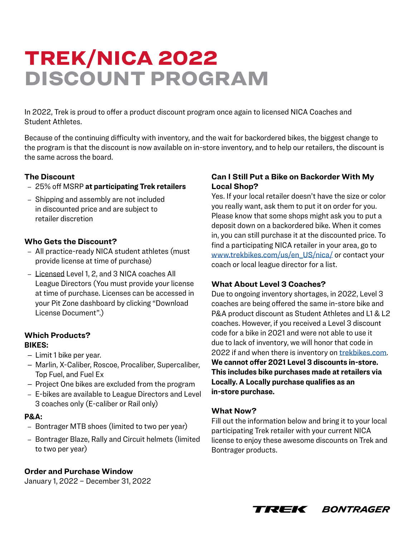# TREK/NICA 2022 DISCOUNT PROGRAM

In 2022, Trek is proud to offer a product discount program once again to licensed NICA Coaches and Student Athletes.

Because of the continuing difficulty with inventory, and the wait for backordered bikes, the biggest change to the program is that the discount is now available on in-store inventory, and to help our retailers, the discount is the same across the board.

# **The Discount**

- 25% off MSRP **at participating Trek retailers**
- Shipping and assembly are not included in discounted price and are subject to retailer discretion

### **Who Gets the Discount?**

- All practice-ready NICA student athletes (must provide license at time of purchase)
- Licensed Level 1, 2, and 3 NICA coaches All League Directors (You must provide your license at time of purchase. Licenses can be accessed in your Pit Zone dashboard by clicking "Download License Document".)

#### **Which Products? BIKES:**

- Limit 1 bike per year.
- Marlin, X-Caliber, Roscoe, Procaliber, Supercaliber, Top Fuel, and Fuel Ex
- Project One bikes are excluded from the program
- E-bikes are available to League Directors and Level 3 coaches only (E-caliber or Rail only)

#### **P&A:**

- Bontrager MTB shoes (limited to two per year)
- Bontrager Blaze, Rally and Circuit helmets (limited to two per year)

# **Order and Purchase Window**

January 1, 2022 – December 31, 2022

### **Can I Still Put a Bike on Backorder With My Local Shop?**

Yes. If your local retailer doesn't have the size or color you really want, ask them to put it on order for you. Please know that some shops might ask you to put a deposit down on a backordered bike. When it comes in, you can still purchase it at the discounted price. To find a participating NICA retailer in your area, go to [www.trekbikes.com/us/en\\_US/nica/](http://www.trekbikes.com/us/en_US/nica/) or contact your coach or local league director for a list.

# **What About Level 3 Coaches?**

Due to ongoing inventory shortages, in 2022, Level 3 coaches are being offered the same in-store bike and P&A product discount as Student Athletes and L1 & L2 coaches. However, if you received a Level 3 discount code for a bike in 2021 and were not able to use it due to lack of inventory, we will honor that code in 2022 if and when there is inventory on [trekbikes.com](http://www.trekbikes.com). **We cannot offer 2021 Level 3 discounts in-store. This includes bike purchases made at retailers via Locally. A Locally purchase qualifies as an in-store purchase.**

#### **What Now?**

Fill out the information below and bring it to your local participating Trek retailer with your current NICA license to enjoy these awesome discounts on Trek and Bontrager products.